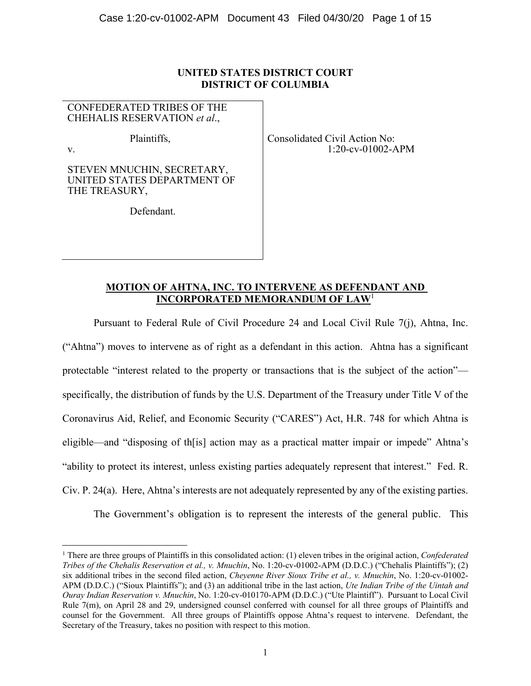# **UNITED STATES DISTRICT COURT DISTRICT OF COLUMBIA**

CONFEDERATED TRIBES OF THE CHEHALIS RESERVATION *et al*.,

Plaintiffs,

v.

STEVEN MNUCHIN, SECRETARY, UNITED STATES DEPARTMENT OF THE TREASURY,

Defendant.

Consolidated Civil Action No: 1:20-cv-01002-APM

# **MOTION OF AHTNA, INC. TO INTERVENE AS DEFENDANT AND INCORPORATED MEMORANDUM OF LAW**<sup>1</sup>

Pursuant to Federal Rule of Civil Procedure 24 and Local Civil Rule 7(j), Ahtna, Inc. ("Ahtna") moves to intervene as of right as a defendant in this action. Ahtna has a significant protectable "interest related to the property or transactions that is the subject of the action" specifically, the distribution of funds by the U.S. Department of the Treasury under Title V of the Coronavirus Aid, Relief, and Economic Security ("CARES") Act, H.R. 748 for which Ahtna is eligible—and "disposing of th[is] action may as a practical matter impair or impede" Ahtna's "ability to protect its interest, unless existing parties adequately represent that interest." Fed. R. Civ. P. 24(a). Here, Ahtna's interests are not adequately represented by any of the existing parties.

The Government's obligation is to represent the interests of the general public. This

<sup>1</sup> There are three groups of Plaintiffs in this consolidated action: (1) eleven tribes in the original action, *Confederated Tribes of the Chehalis Reservation et al., v. Mnuchin*, No. 1:20-cv-01002-APM (D.D.C.) ("Chehalis Plaintiffs"); (2) six additional tribes in the second filed action, *Cheyenne River Sioux Tribe et al., v. Mnuchin*, No. 1:20-cv-01002- APM (D.D.C.) ("Sioux Plaintiffs"); and (3) an additional tribe in the last action, *Ute Indian Tribe of the Uintah and Ouray Indian Reservation v. Mnuchin*, No. 1:20-cv-010170-APM (D.D.C.) ("Ute Plaintiff"). Pursuant to Local Civil Rule 7(m), on April 28 and 29, undersigned counsel conferred with counsel for all three groups of Plaintiffs and counsel for the Government. All three groups of Plaintiffs oppose Ahtna's request to intervene. Defendant, the Secretary of the Treasury, takes no position with respect to this motion.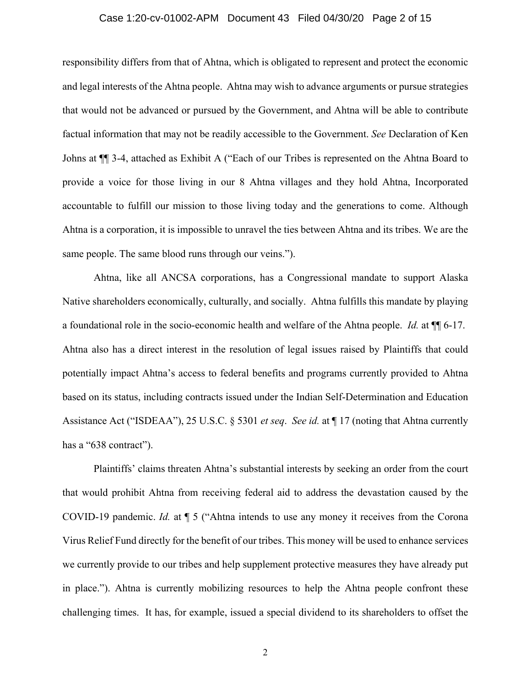### Case 1:20-cv-01002-APM Document 43 Filed 04/30/20 Page 2 of 15

responsibility differs from that of Ahtna, which is obligated to represent and protect the economic and legal interests of the Ahtna people. Ahtna may wish to advance arguments or pursue strategies that would not be advanced or pursued by the Government, and Ahtna will be able to contribute factual information that may not be readily accessible to the Government. *See* Declaration of Ken Johns at ¶¶ 3-4, attached as Exhibit A ("Each of our Tribes is represented on the Ahtna Board to provide a voice for those living in our 8 Ahtna villages and they hold Ahtna, Incorporated accountable to fulfill our mission to those living today and the generations to come. Although Ahtna is a corporation, it is impossible to unravel the ties between Ahtna and its tribes. We are the same people. The same blood runs through our veins.").

Ahtna, like all ANCSA corporations, has a Congressional mandate to support Alaska Native shareholders economically, culturally, and socially. Ahtna fulfills this mandate by playing a foundational role in the socio-economic health and welfare of the Ahtna people. *Id.* at ¶¶ 6-17. Ahtna also has a direct interest in the resolution of legal issues raised by Plaintiffs that could potentially impact Ahtna's access to federal benefits and programs currently provided to Ahtna based on its status, including contracts issued under the Indian Self-Determination and Education Assistance Act ("ISDEAA"), 25 U.S.C. § 5301 *et seq*. *See id.* at ¶ 17 (noting that Ahtna currently has a "638 contract").

Plaintiffs' claims threaten Ahtna's substantial interests by seeking an order from the court that would prohibit Ahtna from receiving federal aid to address the devastation caused by the COVID-19 pandemic. *Id.* at ¶ 5 ("Ahtna intends to use any money it receives from the Corona Virus Relief Fund directly for the benefit of our tribes. This money will be used to enhance services we currently provide to our tribes and help supplement protective measures they have already put in place."). Ahtna is currently mobilizing resources to help the Ahtna people confront these challenging times. It has, for example, issued a special dividend to its shareholders to offset the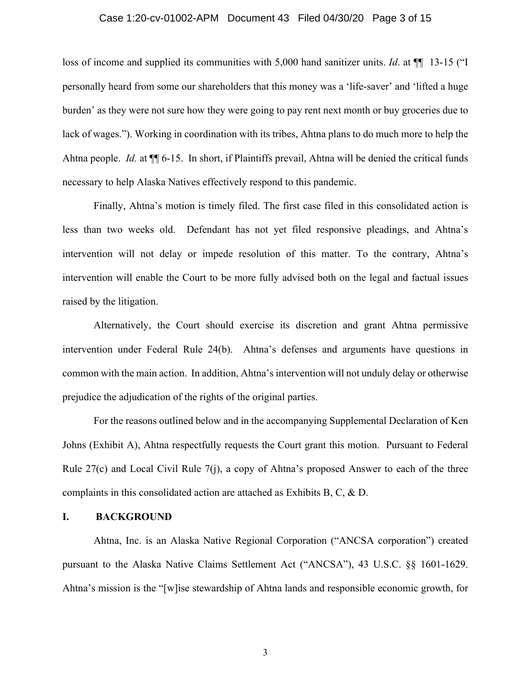### Case 1:20-cv-01002-APM Document 43 Filed 04/30/20 Page 3 of 15

loss of income and supplied its communities with 5,000 hand sanitizer units. *Id*. at ¶¶ 13-15 ("I personally heard from some our shareholders that this money was a 'life-saver' and 'lifted a huge burden' as they were not sure how they were going to pay rent next month or buy groceries due to lack of wages."). Working in coordination with its tribes, Ahtna plans to do much more to help the Ahtna people. *Id.* at ¶¶ 6-15. In short, if Plaintiffs prevail, Ahtna will be denied the critical funds necessary to help Alaska Natives effectively respond to this pandemic.

Finally, Ahtna's motion is timely filed. The first case filed in this consolidated action is less than two weeks old. Defendant has not yet filed responsive pleadings, and Ahtna's intervention will not delay or impede resolution of this matter. To the contrary, Ahtna's intervention will enable the Court to be more fully advised both on the legal and factual issues raised by the litigation.

Alternatively, the Court should exercise its discretion and grant Ahtna permissive intervention under Federal Rule 24(b). Ahtna's defenses and arguments have questions in common with the main action. In addition, Ahtna's intervention will not unduly delay or otherwise prejudice the adjudication of the rights of the original parties.

For the reasons outlined below and in the accompanying Supplemental Declaration of Ken Johns (Exhibit A), Ahtna respectfully requests the Court grant this motion. Pursuant to Federal Rule 27(c) and Local Civil Rule 7(j), a copy of Ahtna's proposed Answer to each of the three complaints in this consolidated action are attached as Exhibits B, C, & D.

## **I. BACKGROUND**

Ahtna, Inc. is an Alaska Native Regional Corporation ("ANCSA corporation") created pursuant to the Alaska Native Claims Settlement Act ("ANCSA"), 43 U.S.C. §§ 1601-1629. Ahtna's mission is the "[w]ise stewardship of Ahtna lands and responsible economic growth, for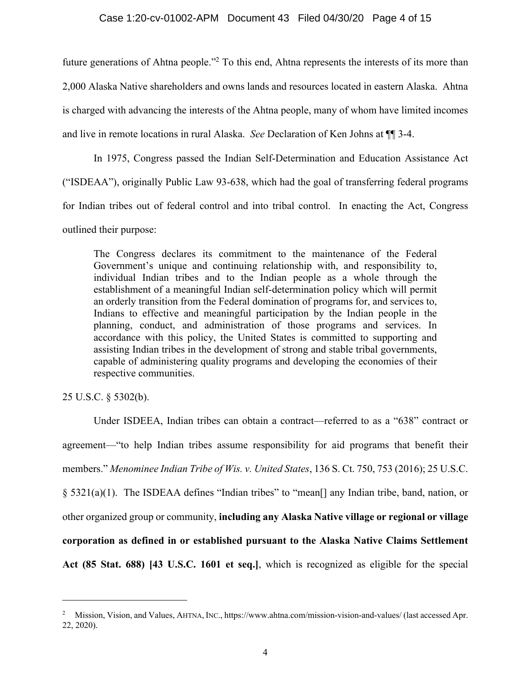future generations of Ahtna people."<sup>2</sup> To this end, Ahtna represents the interests of its more than 2,000 Alaska Native shareholders and owns lands and resources located in eastern Alaska. Ahtna is charged with advancing the interests of the Ahtna people, many of whom have limited incomes and live in remote locations in rural Alaska. *See* Declaration of Ken Johns at ¶¶ 3-4.

In 1975, Congress passed the Indian Self-Determination and Education Assistance Act ("ISDEAA"), originally Public Law 93-638, which had the goal of transferring federal programs for Indian tribes out of federal control and into tribal control. In enacting the Act, Congress outlined their purpose:

The Congress declares its commitment to the maintenance of the Federal Government's unique and continuing relationship with, and responsibility to, individual Indian tribes and to the Indian people as a whole through the establishment of a meaningful Indian self-determination policy which will permit an orderly transition from the Federal domination of programs for, and services to, Indians to effective and meaningful participation by the Indian people in the planning, conduct, and administration of those programs and services. In accordance with this policy, the United States is committed to supporting and assisting Indian tribes in the development of strong and stable tribal governments, capable of administering quality programs and developing the economies of their respective communities.

25 U.S.C. § 5302(b).

Under ISDEEA, Indian tribes can obtain a contract—referred to as a "638" contract or agreement—"to help Indian tribes assume responsibility for aid programs that benefit their members." *Menominee Indian Tribe of Wis. v. United States*, 136 S. Ct. 750, 753 (2016); 25 U.S.C. § 5321(a)(1). The ISDEAA defines "Indian tribes" to "mean[] any Indian tribe, band, nation, or other organized group or community, **including any Alaska Native village or regional or village corporation as defined in or established pursuant to the Alaska Native Claims Settlement Act (85 Stat. 688) [43 U.S.C. 1601 et seq.]**, which is recognized as eligible for the special

<sup>&</sup>lt;sup>2</sup> Mission, Vision, and Values, AHTNA, INC., https://www.ahtna.com/mission-vision-and-values/ (last accessed Apr. 22, 2020).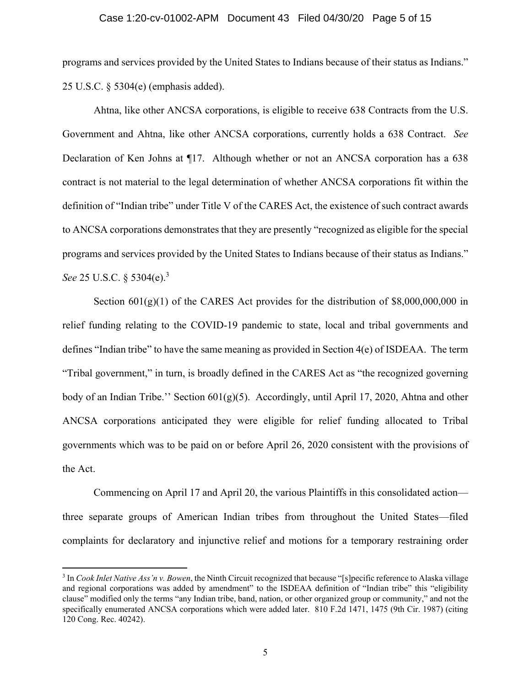#### Case 1:20-cv-01002-APM Document 43 Filed 04/30/20 Page 5 of 15

programs and services provided by the United States to Indians because of their status as Indians." 25 U.S.C. § 5304(e) (emphasis added).

Ahtna, like other ANCSA corporations, is eligible to receive 638 Contracts from the U.S. Government and Ahtna, like other ANCSA corporations, currently holds a 638 Contract. *See* Declaration of Ken Johns at ¶17. Although whether or not an ANCSA corporation has a 638 contract is not material to the legal determination of whether ANCSA corporations fit within the definition of "Indian tribe" under Title V of the CARES Act, the existence of such contract awards to ANCSA corporations demonstrates that they are presently "recognized as eligible for the special programs and services provided by the United States to Indians because of their status as Indians." *See* 25 U.S.C. § 5304(e).<sup>3</sup>

Section  $601(g)(1)$  of the CARES Act provides for the distribution of \$8,000,000,000 in relief funding relating to the COVID-19 pandemic to state, local and tribal governments and defines "Indian tribe" to have the same meaning as provided in Section 4(e) of ISDEAA. The term "Tribal government," in turn, is broadly defined in the CARES Act as "the recognized governing body of an Indian Tribe." Section  $601(g)(5)$ . Accordingly, until April 17, 2020, Ahtna and other ANCSA corporations anticipated they were eligible for relief funding allocated to Tribal governments which was to be paid on or before April 26, 2020 consistent with the provisions of the Act.

Commencing on April 17 and April 20, the various Plaintiffs in this consolidated action three separate groups of American Indian tribes from throughout the United States—filed complaints for declaratory and injunctive relief and motions for a temporary restraining order

<sup>3</sup> In *Cook Inlet Native Ass'n v. Bowen*, the Ninth Circuit recognized that because "[s]pecific reference to Alaska village and regional corporations was added by amendment" to the ISDEAA definition of "Indian tribe" this "eligibility clause" modified only the terms "any Indian tribe, band, nation, or other organized group or community," and not the specifically enumerated ANCSA corporations which were added later. 810 F.2d 1471, 1475 (9th Cir. 1987) (citing 120 Cong. Rec. 40242).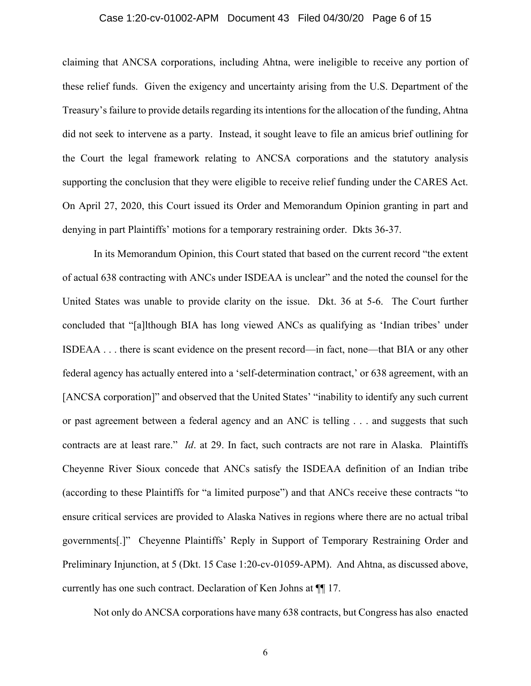#### Case 1:20-cv-01002-APM Document 43 Filed 04/30/20 Page 6 of 15

claiming that ANCSA corporations, including Ahtna, were ineligible to receive any portion of these relief funds. Given the exigency and uncertainty arising from the U.S. Department of the Treasury's failure to provide details regarding its intentions for the allocation of the funding, Ahtna did not seek to intervene as a party. Instead, it sought leave to file an amicus brief outlining for the Court the legal framework relating to ANCSA corporations and the statutory analysis supporting the conclusion that they were eligible to receive relief funding under the CARES Act. On April 27, 2020, this Court issued its Order and Memorandum Opinion granting in part and denying in part Plaintiffs' motions for a temporary restraining order. Dkts 36-37.

In its Memorandum Opinion, this Court stated that based on the current record "the extent of actual 638 contracting with ANCs under ISDEAA is unclear" and the noted the counsel for the United States was unable to provide clarity on the issue. Dkt. 36 at 5-6. The Court further concluded that "[a]lthough BIA has long viewed ANCs as qualifying as 'Indian tribes' under ISDEAA . . . there is scant evidence on the present record—in fact, none—that BIA or any other federal agency has actually entered into a 'self-determination contract,' or 638 agreement, with an [ANCSA corporation]" and observed that the United States' "inability to identify any such current or past agreement between a federal agency and an ANC is telling . . . and suggests that such contracts are at least rare." *Id*. at 29. In fact, such contracts are not rare in Alaska. Plaintiffs Cheyenne River Sioux concede that ANCs satisfy the ISDEAA definition of an Indian tribe (according to these Plaintiffs for "a limited purpose") and that ANCs receive these contracts "to ensure critical services are provided to Alaska Natives in regions where there are no actual tribal governments[.]" Cheyenne Plaintiffs' Reply in Support of Temporary Restraining Order and Preliminary Injunction, at 5 (Dkt. 15 Case 1:20-cv-01059-APM). And Ahtna, as discussed above, currently has one such contract. Declaration of Ken Johns at ¶¶ 17.

Not only do ANCSA corporations have many 638 contracts, but Congress has also enacted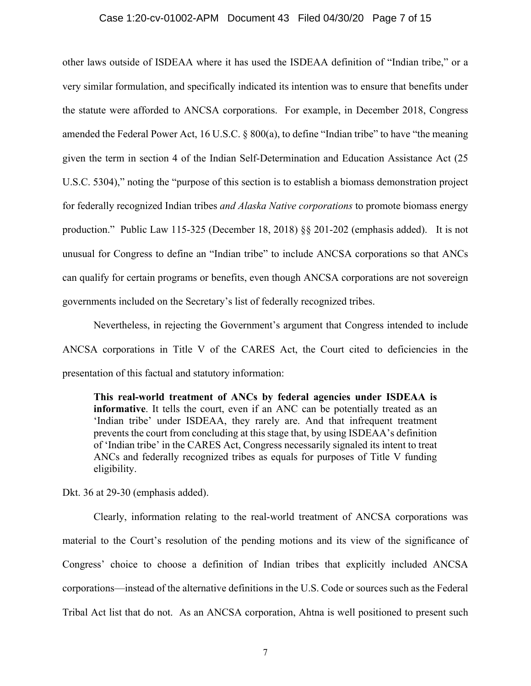#### Case 1:20-cv-01002-APM Document 43 Filed 04/30/20 Page 7 of 15

other laws outside of ISDEAA where it has used the ISDEAA definition of "Indian tribe," or a very similar formulation, and specifically indicated its intention was to ensure that benefits under the statute were afforded to ANCSA corporations. For example, in December 2018, Congress amended the Federal Power Act, 16 U.S.C. § 800(a), to define "Indian tribe" to have "the meaning given the term in section 4 of the Indian Self-Determination and Education Assistance Act (25 U.S.C. 5304)," noting the "purpose of this section is to establish a biomass demonstration project for federally recognized Indian tribes *and Alaska Native corporations* to promote biomass energy production." Public Law 115-325 (December 18, 2018) §§ 201-202 (emphasis added). It is not unusual for Congress to define an "Indian tribe" to include ANCSA corporations so that ANCs can qualify for certain programs or benefits, even though ANCSA corporations are not sovereign governments included on the Secretary's list of federally recognized tribes.

Nevertheless, in rejecting the Government's argument that Congress intended to include ANCSA corporations in Title V of the CARES Act, the Court cited to deficiencies in the presentation of this factual and statutory information:

**This real-world treatment of ANCs by federal agencies under ISDEAA is informative**. It tells the court, even if an ANC can be potentially treated as an 'Indian tribe' under ISDEAA, they rarely are. And that infrequent treatment prevents the court from concluding at this stage that, by using ISDEAA's definition of 'Indian tribe' in the CARES Act, Congress necessarily signaled its intent to treat ANCs and federally recognized tribes as equals for purposes of Title V funding eligibility.

Dkt. 36 at 29-30 (emphasis added).

 Clearly, information relating to the real-world treatment of ANCSA corporations was material to the Court's resolution of the pending motions and its view of the significance of Congress' choice to choose a definition of Indian tribes that explicitly included ANCSA corporations—instead of the alternative definitions in the U.S. Code or sources such as the Federal Tribal Act list that do not. As an ANCSA corporation, Ahtna is well positioned to present such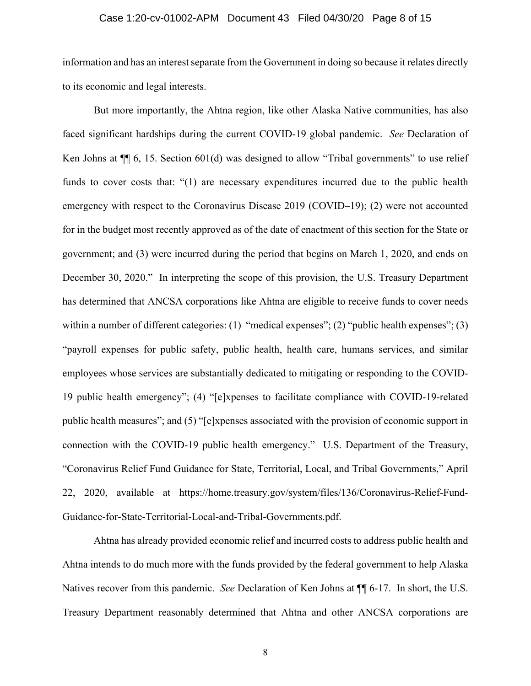### Case 1:20-cv-01002-APM Document 43 Filed 04/30/20 Page 8 of 15

information and has an interest separate from the Government in doing so because it relates directly to its economic and legal interests.

But more importantly, the Ahtna region, like other Alaska Native communities, has also faced significant hardships during the current COVID-19 global pandemic. *See* Declaration of Ken Johns at  $\P$  6, 15. Section 601(d) was designed to allow "Tribal governments" to use relief funds to cover costs that: "(1) are necessary expenditures incurred due to the public health emergency with respect to the Coronavirus Disease 2019 (COVID–19); (2) were not accounted for in the budget most recently approved as of the date of enactment of this section for the State or government; and (3) were incurred during the period that begins on March 1, 2020, and ends on December 30, 2020." In interpreting the scope of this provision, the U.S. Treasury Department has determined that ANCSA corporations like Ahtna are eligible to receive funds to cover needs within a number of different categories: (1) "medical expenses"; (2) "public health expenses"; (3) "payroll expenses for public safety, public health, health care, humans services, and similar employees whose services are substantially dedicated to mitigating or responding to the COVID-19 public health emergency"; (4) "[e]xpenses to facilitate compliance with COVID-19-related public health measures"; and (5) "[e]xpenses associated with the provision of economic support in connection with the COVID-19 public health emergency." U.S. Department of the Treasury, "Coronavirus Relief Fund Guidance for State, Territorial, Local, and Tribal Governments," April 22, 2020, available at https://home.treasury.gov/system/files/136/Coronavirus-Relief-Fund-Guidance-for-State-Territorial-Local-and-Tribal-Governments.pdf.

Ahtna has already provided economic relief and incurred costs to address public health and Ahtna intends to do much more with the funds provided by the federal government to help Alaska Natives recover from this pandemic. *See* Declaration of Ken Johns at ¶¶ 6-17. In short, the U.S. Treasury Department reasonably determined that Ahtna and other ANCSA corporations are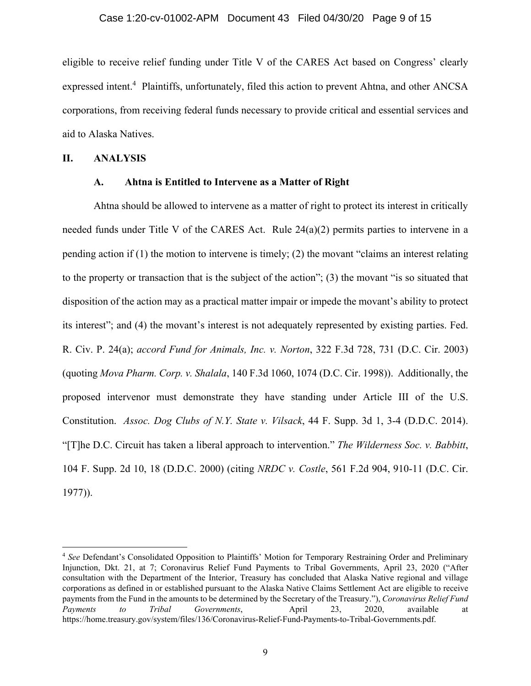eligible to receive relief funding under Title V of the CARES Act based on Congress' clearly expressed intent.<sup>4</sup> Plaintiffs, unfortunately, filed this action to prevent Ahtna, and other ANCSA corporations, from receiving federal funds necessary to provide critical and essential services and aid to Alaska Natives.

## **II. ANALYSIS**

### **A. Ahtna is Entitled to Intervene as a Matter of Right**

Ahtna should be allowed to intervene as a matter of right to protect its interest in critically needed funds under Title V of the CARES Act. Rule 24(a)(2) permits parties to intervene in a pending action if  $(1)$  the motion to intervene is timely;  $(2)$  the movant "claims an interest relating to the property or transaction that is the subject of the action"; (3) the movant "is so situated that disposition of the action may as a practical matter impair or impede the movant's ability to protect its interest"; and (4) the movant's interest is not adequately represented by existing parties. Fed. R. Civ. P. 24(a); *accord Fund for Animals, Inc. v. Norton*, 322 F.3d 728, 731 (D.C. Cir. 2003) (quoting *Mova Pharm. Corp. v. Shalala*, 140 F.3d 1060, 1074 (D.C. Cir. 1998)). Additionally, the proposed intervenor must demonstrate they have standing under Article III of the U.S. Constitution. *Assoc. Dog Clubs of N.Y. State v. Vilsack*, 44 F. Supp. 3d 1, 3-4 (D.D.C. 2014). "[T]he D.C. Circuit has taken a liberal approach to intervention." *The Wilderness Soc. v. Babbitt*, 104 F. Supp. 2d 10, 18 (D.D.C. 2000) (citing *NRDC v. Costle*, 561 F.2d 904, 910-11 (D.C. Cir. 1977)).

<sup>4</sup> *See* Defendant's Consolidated Opposition to Plaintiffs' Motion for Temporary Restraining Order and Preliminary Injunction, Dkt. 21, at 7; Coronavirus Relief Fund Payments to Tribal Governments, April 23, 2020 ("After consultation with the Department of the Interior, Treasury has concluded that Alaska Native regional and village corporations as defined in or established pursuant to the Alaska Native Claims Settlement Act are eligible to receive payments from the Fund in the amounts to be determined by the Secretary of the Treasury."), *Coronavirus Relief Fund Payments to Tribal Governments*, April 23, 2020, available at https://home.treasury.gov/system/files/136/Coronavirus-Relief-Fund-Payments-to-Tribal-Governments.pdf.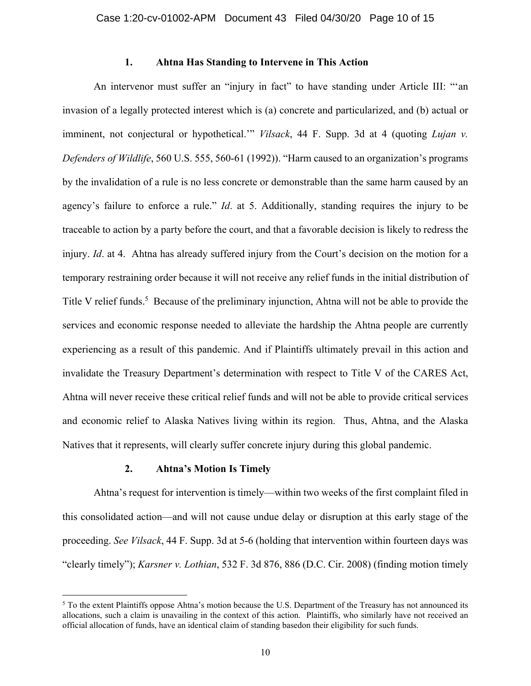## **1. Ahtna Has Standing to Intervene in This Action**

An intervenor must suffer an "injury in fact" to have standing under Article III: "'an invasion of a legally protected interest which is (a) concrete and particularized, and (b) actual or imminent, not conjectural or hypothetical." *Vilsack*, 44 F. Supp. 3d at 4 (quoting *Lujan v. Defenders of Wildlife*, 560 U.S. 555, 560-61 (1992)). "Harm caused to an organization's programs by the invalidation of a rule is no less concrete or demonstrable than the same harm caused by an agency's failure to enforce a rule." *Id*. at 5. Additionally, standing requires the injury to be traceable to action by a party before the court, and that a favorable decision is likely to redress the injury. *Id.* at 4. Ahtna has already suffered injury from the Court's decision on the motion for a temporary restraining order because it will not receive any relief funds in the initial distribution of Title V relief funds.<sup>5</sup> Because of the preliminary injunction, Ahtna will not be able to provide the services and economic response needed to alleviate the hardship the Ahtna people are currently experiencing as a result of this pandemic. And if Plaintiffs ultimately prevail in this action and invalidate the Treasury Department's determination with respect to Title V of the CARES Act, Ahtna will never receive these critical relief funds and will not be able to provide critical services and economic relief to Alaska Natives living within its region. Thus, Ahtna, and the Alaska Natives that it represents, will clearly suffer concrete injury during this global pandemic.

## **2. Ahtna's Motion Is Timely**

Ahtna's request for intervention is timely—within two weeks of the first complaint filed in this consolidated action—and will not cause undue delay or disruption at this early stage of the proceeding. *See Vilsack*, 44 F. Supp. 3d at 5-6 (holding that intervention within fourteen days was "clearly timely"); *Karsner v. Lothian*, 532 F. 3d 876, 886 (D.C. Cir. 2008) (finding motion timely

<sup>&</sup>lt;sup>5</sup> To the extent Plaintiffs oppose Ahtna's motion because the U.S. Department of the Treasury has not announced its allocations, such a claim is unavailing in the context of this action. Plaintiffs, who similarly have not received an official allocation of funds, have an identical claim of standing basedon their eligibility for such funds.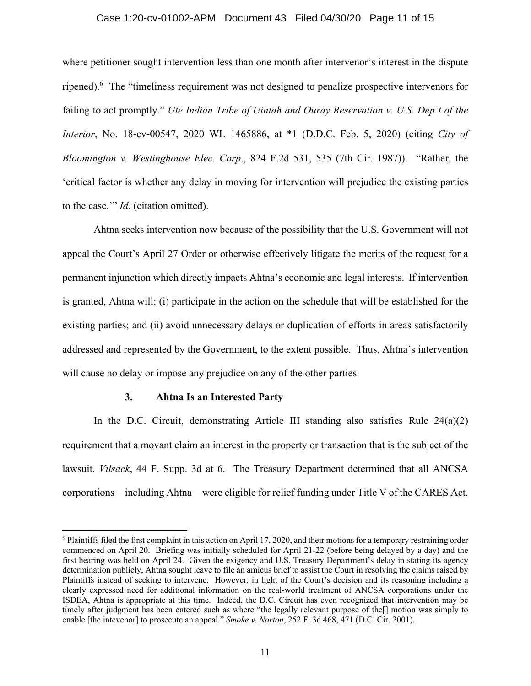#### Case 1:20-cv-01002-APM Document 43 Filed 04/30/20 Page 11 of 15

where petitioner sought intervention less than one month after intervenor's interest in the dispute ripened).<sup>6</sup> The "timeliness requirement was not designed to penalize prospective intervenors for failing to act promptly." *Ute Indian Tribe of Uintah and Ouray Reservation v. U.S. Dep't of the Interior*, No. 18-cv-00547, 2020 WL 1465886, at \*1 (D.D.C. Feb. 5, 2020) (citing *City of Bloomington v. Westinghouse Elec. Corp*., 824 F.2d 531, 535 (7th Cir. 1987)). "Rather, the 'critical factor is whether any delay in moving for intervention will prejudice the existing parties to the case.'" *Id*. (citation omitted).

Ahtna seeks intervention now because of the possibility that the U.S. Government will not appeal the Court's April 27 Order or otherwise effectively litigate the merits of the request for a permanent injunction which directly impacts Ahtna's economic and legal interests. If intervention is granted, Ahtna will: (i) participate in the action on the schedule that will be established for the existing parties; and (ii) avoid unnecessary delays or duplication of efforts in areas satisfactorily addressed and represented by the Government, to the extent possible. Thus, Ahtna's intervention will cause no delay or impose any prejudice on any of the other parties.

#### **3. Ahtna Is an Interested Party**

In the D.C. Circuit, demonstrating Article III standing also satisfies Rule  $24(a)(2)$ requirement that a movant claim an interest in the property or transaction that is the subject of the lawsuit. *Vilsack*, 44 F. Supp. 3d at 6. The Treasury Department determined that all ANCSA corporations—including Ahtna—were eligible for relief funding under Title V of the CARES Act.

<sup>&</sup>lt;sup>6</sup> Plaintiffs filed the first complaint in this action on April 17, 2020, and their motions for a temporary restraining order commenced on April 20. Briefing was initially scheduled for April 21-22 (before being delayed by a day) and the first hearing was held on April 24. Given the exigency and U.S. Treasury Department's delay in stating its agency determination publicly, Ahtna sought leave to file an amicus brief to assist the Court in resolving the claims raised by Plaintiffs instead of seeking to intervene. However, in light of the Court's decision and its reasoning including a clearly expressed need for additional information on the real-world treatment of ANCSA corporations under the ISDEA, Ahtna is appropriate at this time. Indeed, the D.C. Circuit has even recognized that intervention may be timely after judgment has been entered such as where "the legally relevant purpose of the<sup>[]</sup> motion was simply to enable [the intevenor] to prosecute an appeal." *Smoke v. Norton*, 252 F. 3d 468, 471 (D.C. Cir. 2001).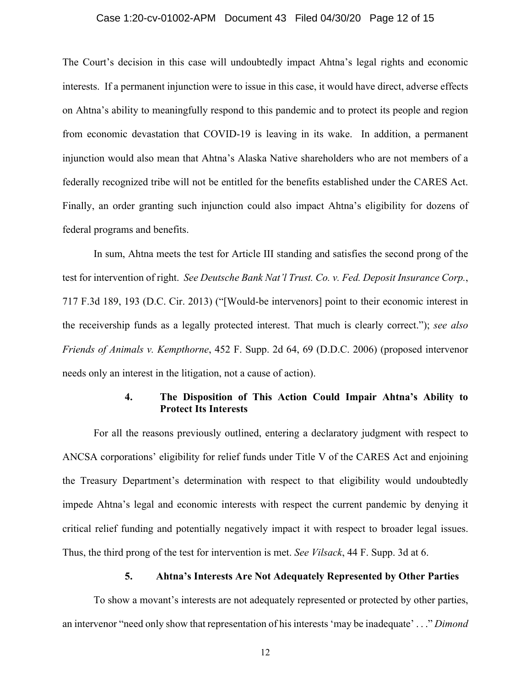### Case 1:20-cv-01002-APM Document 43 Filed 04/30/20 Page 12 of 15

The Court's decision in this case will undoubtedly impact Ahtna's legal rights and economic interests. If a permanent injunction were to issue in this case, it would have direct, adverse effects on Ahtna's ability to meaningfully respond to this pandemic and to protect its people and region from economic devastation that COVID-19 is leaving in its wake. In addition, a permanent injunction would also mean that Ahtna's Alaska Native shareholders who are not members of a federally recognized tribe will not be entitled for the benefits established under the CARES Act. Finally, an order granting such injunction could also impact Ahtna's eligibility for dozens of federal programs and benefits.

In sum, Ahtna meets the test for Article III standing and satisfies the second prong of the test for intervention of right. *See Deutsche Bank Nat'l Trust. Co. v. Fed. Deposit Insurance Corp.*, 717 F.3d 189, 193 (D.C. Cir. 2013) ("[Would-be intervenors] point to their economic interest in the receivership funds as a legally protected interest. That much is clearly correct."); *see also Friends of Animals v. Kempthorne*, 452 F. Supp. 2d 64, 69 (D.D.C. 2006) (proposed intervenor needs only an interest in the litigation, not a cause of action).

# **4. The Disposition of This Action Could Impair Ahtna's Ability to Protect Its Interests**

For all the reasons previously outlined, entering a declaratory judgment with respect to ANCSA corporations' eligibility for relief funds under Title V of the CARES Act and enjoining the Treasury Department's determination with respect to that eligibility would undoubtedly impede Ahtna's legal and economic interests with respect the current pandemic by denying it critical relief funding and potentially negatively impact it with respect to broader legal issues. Thus, the third prong of the test for intervention is met. *See Vilsack*, 44 F. Supp. 3d at 6.

## **5. Ahtna's Interests Are Not Adequately Represented by Other Parties**

To show a movant's interests are not adequately represented or protected by other parties, an intervenor "need only show that representation of his interests 'may be inadequate' . . ." *Dimond*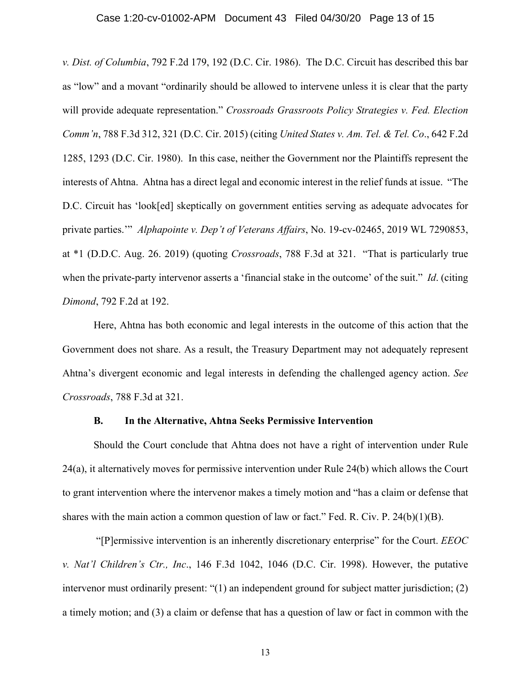### Case 1:20-cv-01002-APM Document 43 Filed 04/30/20 Page 13 of 15

*v. Dist. of Columbia*, 792 F.2d 179, 192 (D.C. Cir. 1986). The D.C. Circuit has described this bar as "low" and a movant "ordinarily should be allowed to intervene unless it is clear that the party will provide adequate representation." *Crossroads Grassroots Policy Strategies v. Fed. Election Comm'n*, 788 F.3d 312, 321 (D.C. Cir. 2015) (citing *United States v. Am. Tel. & Tel. Co*., 642 F.2d 1285, 1293 (D.C. Cir. 1980). In this case, neither the Government nor the Plaintiffs represent the interests of Ahtna. Ahtna has a direct legal and economic interest in the relief funds at issue. "The D.C. Circuit has 'look[ed] skeptically on government entities serving as adequate advocates for private parties.'" *Alphapointe v. Dep't of Veterans Affairs*, No. 19-cv-02465, 2019 WL 7290853, at \*1 (D.D.C. Aug. 26. 2019) (quoting *Crossroads*, 788 F.3d at 321. "That is particularly true when the private-party intervenor asserts a 'financial stake in the outcome' of the suit." *Id*. (citing *Dimond*, 792 F.2d at 192.

Here, Ahtna has both economic and legal interests in the outcome of this action that the Government does not share. As a result, the Treasury Department may not adequately represent Ahtna's divergent economic and legal interests in defending the challenged agency action. *See Crossroads*, 788 F.3d at 321.

#### **B. In the Alternative, Ahtna Seeks Permissive Intervention**

Should the Court conclude that Ahtna does not have a right of intervention under Rule 24(a), it alternatively moves for permissive intervention under Rule 24(b) which allows the Court to grant intervention where the intervenor makes a timely motion and "has a claim or defense that shares with the main action a common question of law or fact." Fed. R. Civ. P. 24(b)(1)(B).

 "[P]ermissive intervention is an inherently discretionary enterprise" for the Court. *EEOC v. Nat'l Children's Ctr., Inc*., 146 F.3d 1042, 1046 (D.C. Cir. 1998). However, the putative intervenor must ordinarily present: "(1) an independent ground for subject matter jurisdiction; (2) a timely motion; and (3) a claim or defense that has a question of law or fact in common with the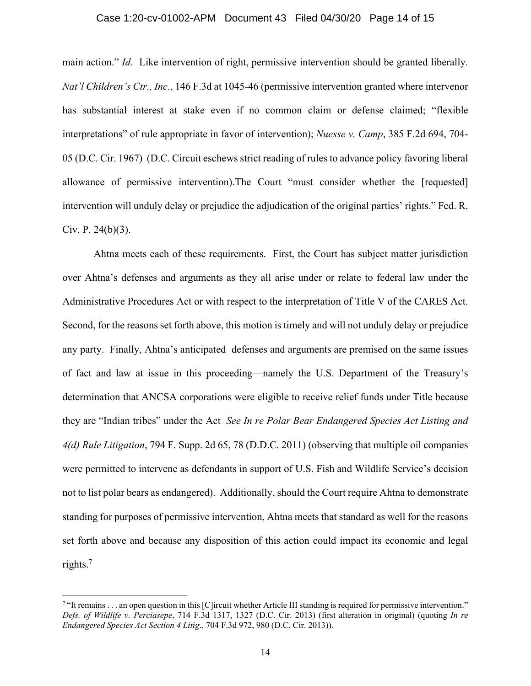#### Case 1:20-cv-01002-APM Document 43 Filed 04/30/20 Page 14 of 15

main action." *Id*. Like intervention of right, permissive intervention should be granted liberally. *Nat'l Children's Ctr., Inc*., 146 F.3d at 1045-46 (permissive intervention granted where intervenor has substantial interest at stake even if no common claim or defense claimed; "flexible interpretations" of rule appropriate in favor of intervention); *Nuesse v. Camp*, 385 F.2d 694, 704- 05 (D.C. Cir. 1967) (D.C. Circuit eschews strict reading of rules to advance policy favoring liberal allowance of permissive intervention).The Court "must consider whether the [requested] intervention will unduly delay or prejudice the adjudication of the original parties' rights." Fed. R. Civ. P.  $24(b)(3)$ .

Ahtna meets each of these requirements. First, the Court has subject matter jurisdiction over Ahtna's defenses and arguments as they all arise under or relate to federal law under the Administrative Procedures Act or with respect to the interpretation of Title V of the CARES Act. Second, for the reasons set forth above, this motion is timely and will not unduly delay or prejudice any party. Finally, Ahtna's anticipated defenses and arguments are premised on the same issues of fact and law at issue in this proceeding—namely the U.S. Department of the Treasury's determination that ANCSA corporations were eligible to receive relief funds under Title because they are "Indian tribes" under the Act *See In re Polar Bear Endangered Species Act Listing and 4(d) Rule Litigation*, 794 F. Supp. 2d 65, 78 (D.D.C. 2011) (observing that multiple oil companies were permitted to intervene as defendants in support of U.S. Fish and Wildlife Service's decision not to list polar bears as endangered). Additionally, should the Court require Ahtna to demonstrate standing for purposes of permissive intervention, Ahtna meets that standard as well for the reasons set forth above and because any disposition of this action could impact its economic and legal rights.7

<sup>&</sup>lt;sup>7</sup> "It remains . . . an open question in this [C]ircuit whether Article III standing is required for permissive intervention." *Defs. of Wildlife v. Perciasepe*, 714 F.3d 1317, 1327 (D.C. Cir. 2013) (first alteration in original) (quoting *In re Endangered Species Act Section 4 Litig*., 704 F.3d 972, 980 (D.C. Cir. 2013)).